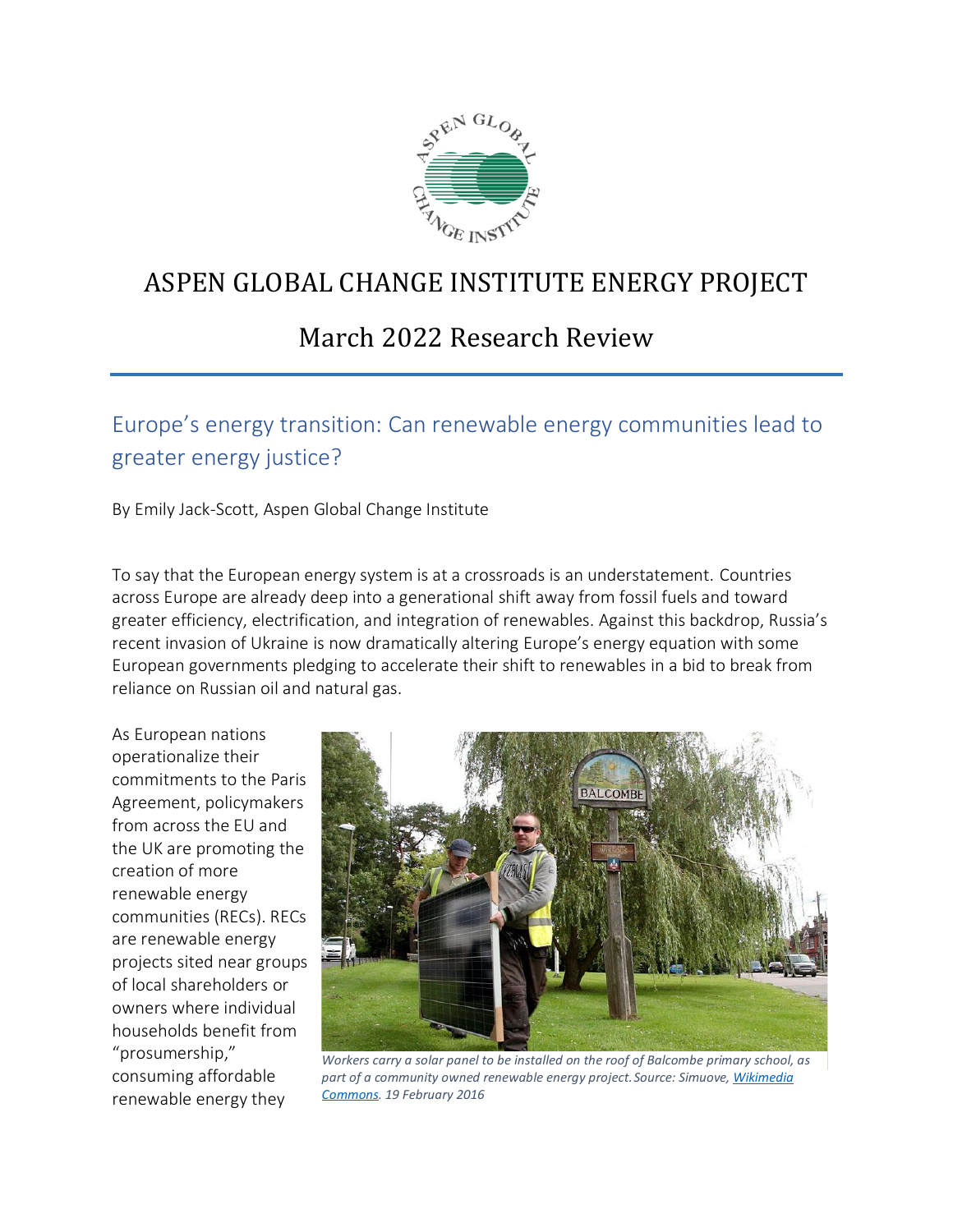

# ASPEN GLOBAL CHANGE INSTITUTE ENERGY PROJECT

## March 2022 Research Review

Europe's energy transition: Can renewable energy communities lead to greater energy justice?

By Emily Jack-Scott, Aspen Global Change Institute

To say that the European energy system is at a crossroads is an understatement. Countries across Europe are already deep into a generational shift away from fossil fuels and toward greater efficiency, electrification, and integration of renewables. Against this backdrop, Russia's recent invasion of Ukraine is now dramatically altering Europe's energy equation with some European governments pledging to accelerate their shift to renewables in a bid to break from reliance on Russian oil and natural gas.

As European nations operationalize their commitments to the Paris Agreement, policymakers from across the EU and the UK are promoting the creation of more renewable energy communities (RECs). RECs are renewable energy projects sited near groups of local shareholders or owners where individual households benefit from "prosumership," consuming affordable renewable energy they



*Workers carry a solar panel to be installed on the roof of Balcombe primary school, as part of a community owned renewable energy project.Source: Simuove[, Wikimedia](https://commons.wikimedia.org/wiki/File:Solar_installation_in_Balcombe.jpg) [Commons.](https://commons.wikimedia.org/wiki/File:Solar_installation_in_Balcombe.jpg) 19 February 2016*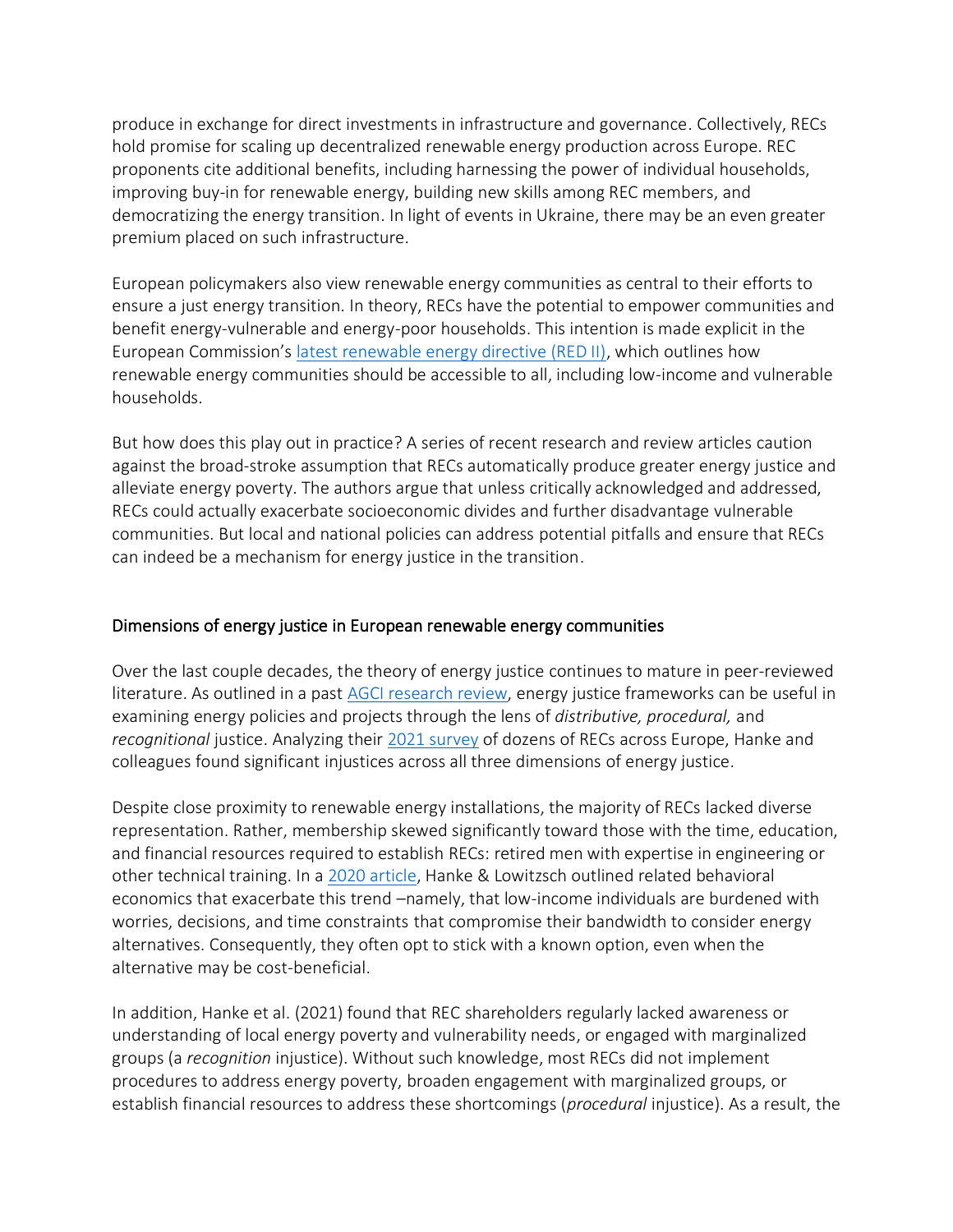produce in exchange for direct investments in infrastructure and governance. Collectively, RECs hold promise for scaling up decentralized renewable energy production across Europe. REC proponents cite additional benefits, including harnessing the power of individual households, improving buy-in for renewable energy, building new skills among REC members, and democratizing the energy transition. In light of events in Ukraine, there may be an even greater premium placed on such infrastructure.

European policymakers also view renewable energy communities as central to their efforts to ensure a just energy transition. In theory, RECs have the potential to empower communities and benefit energy-vulnerable and energy-poor households. This intention is made explicit in the European Commission's [latest renewable energy directive \(RED II\),](https://joint-research-centre.ec.europa.eu/welcome-jec-website/reference-regulatory-framework/renewable-energy-recast-2030-red-ii_en) which outlines how renewable energy communities should be accessible to all, including low-income and vulnerable households.

But how does this play out in practice? A series of recent research and review articles caution against the broad-stroke assumption that RECs automatically produce greater energy justice and alleviate energy poverty. The authors argue that unless critically acknowledged and addressed, RECs could actually exacerbate socioeconomic divides and further disadvantage vulnerable communities. But local and national policies can address potential pitfalls and ensure that RECs can indeed be a mechanism for energy justice in the transition.

#### Dimensions of energy justice in European renewable energy communities

Over the last couple decades, the theory of energy justice continues to mature in peer-reviewed literature. As outlined in a past [AGCI research review,](https://www.agci.org/solutions/quarterly-research/2019-12-EnergyJustice) energy justice frameworks can be useful in examining energy policies and projects through the lens of *distributive, procedural,* and *recognitional* justice. Analyzing their [2021 survey](https://www.sciencedirect.com/science/article/abs/pii/S2214629621003376) of dozens of RECs across Europe, Hanke and colleagues found significant injustices across all three dimensions of energy justice.

Despite close proximity to renewable energy installations, the majority of RECs lacked diverse representation. Rather, membership skewed significantly toward those with the time, education, and financial resources required to establish RECs: retired men with expertise in engineering or other technical training. In a [2020 article,](https://www.mdpi.com/1996-1073/13/7/1615) Hanke & Lowitzsch outlined related behavioral economics that exacerbate this trend –namely, that low-income individuals are burdened with worries, decisions, and time constraints that compromise their bandwidth to consider energy alternatives. Consequently, they often opt to stick with a known option, even when the alternative may be cost-beneficial.

In addition, Hanke et al. (2021) found that REC shareholders regularly lacked awareness or understanding of local energy poverty and vulnerability needs, or engaged with marginalized groups (a *recognition* injustice). Without such knowledge, most RECs did not implement procedures to address energy poverty, broaden engagement with marginalized groups, or establish financial resources to address these shortcomings (*procedural* injustice). As a result, the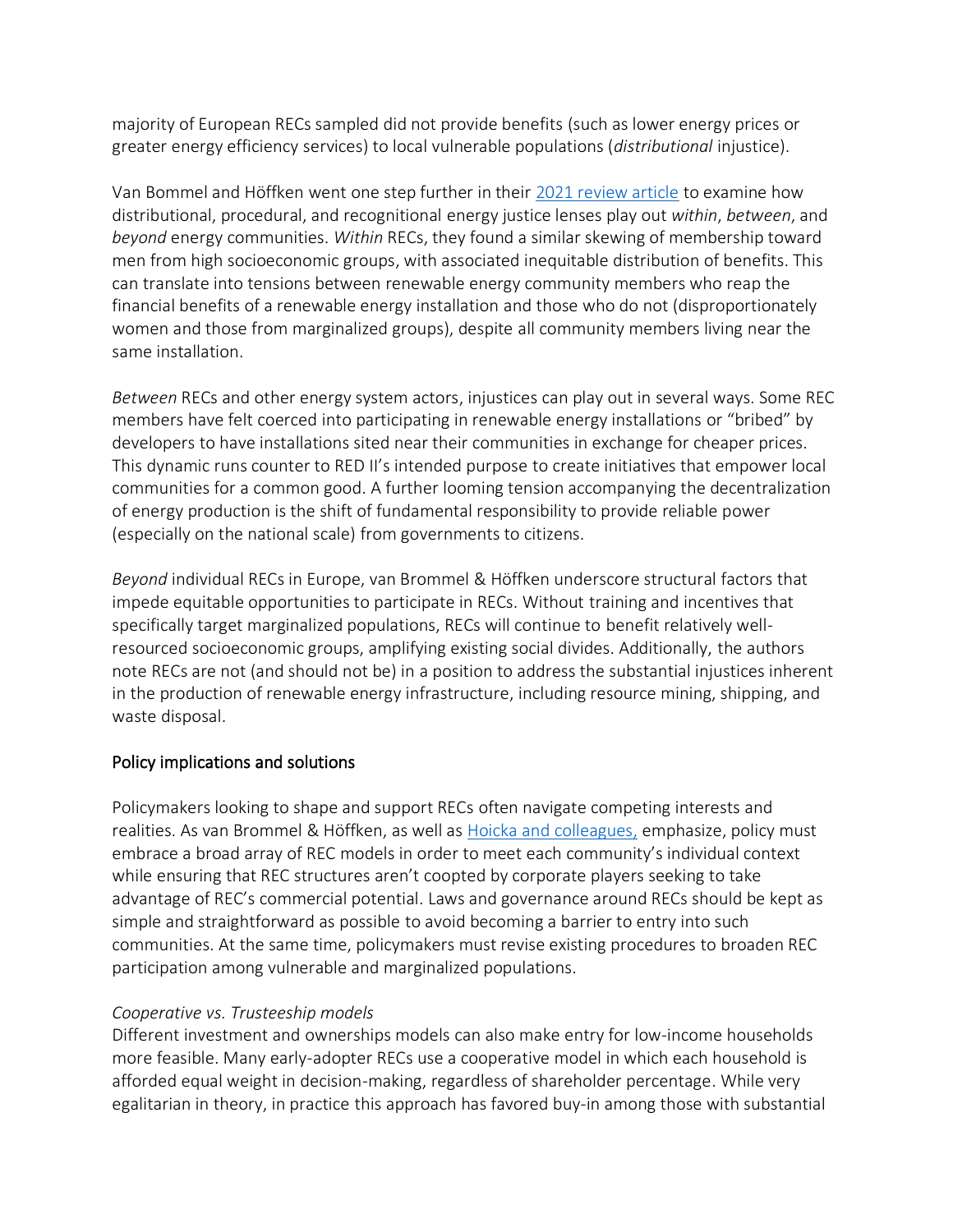majority of European RECs sampled did not provide benefits (such as lower energy prices or greater energy efficiency services) to local vulnerable populations (*distributional* injustice).

Van Bommel and Höffken went one step further in their [2021 review article](https://www.sciencedirect.com/science/article/pii/S2214629621002504) to examine how distributional, procedural, and recognitional energy justice lenses play out *within*, *between*, and *beyond* energy communities. *Within* RECs, they found a similar skewing of membership toward men from high socioeconomic groups, with associated inequitable distribution of benefits. This can translate into tensions between renewable energy community members who reap the financial benefits of a renewable energy installation and those who do not (disproportionately women and those from marginalized groups), despite all community members living near the same installation.

*Between* RECs and other energy system actors, injustices can play out in several ways. Some REC members have felt coerced into participating in renewable energy installations or "bribed" by developers to have installations sited near their communities in exchange for cheaper prices. This dynamic runs counter to RED II's intended purpose to create initiatives that empower local communities for a common good. A further looming tension accompanying the decentralization of energy production is the shift of fundamental responsibility to provide reliable power (especially on the national scale) from governments to citizens.

*Beyond* individual RECs in Europe, van Brommel & Höffken underscore structural factors that impede equitable opportunities to participate in RECs. Without training and incentives that specifically target marginalized populations, RECs will continue to benefit relatively wellresourced socioeconomic groups, amplifying existing social divides. Additionally, the authors note RECs are not (and should not be) in a position to address the substantial injustices inherent in the production of renewable energy infrastructure, including resource mining, shipping, and waste disposal.

#### Policy implications and solutions

Policymakers looking to shape and support RECs often navigate competing interests and realities. As van Brommel & Höffken, as well as [Hoicka and colleagues,](https://www.sciencedirect.com/science/article/pii/S0301421521003050) emphasize, policy must embrace a broad array of REC models in order to meet each community's individual context while ensuring that REC structures aren't coopted by corporate players seeking to take advantage of REC's commercial potential. Laws and governance around RECs should be kept as simple and straightforward as possible to avoid becoming a barrier to entry into such communities. At the same time, policymakers must revise existing procedures to broaden REC participation among vulnerable and marginalized populations.

#### *Cooperative vs. Trusteeship models*

Different investment and ownerships models can also make entry for low-income households more feasible. Many early-adopter RECs use a cooperative model in which each household is afforded equal weight in decision-making, regardless of shareholder percentage. While very egalitarian in theory, in practice this approach has favored buy-in among those with substantial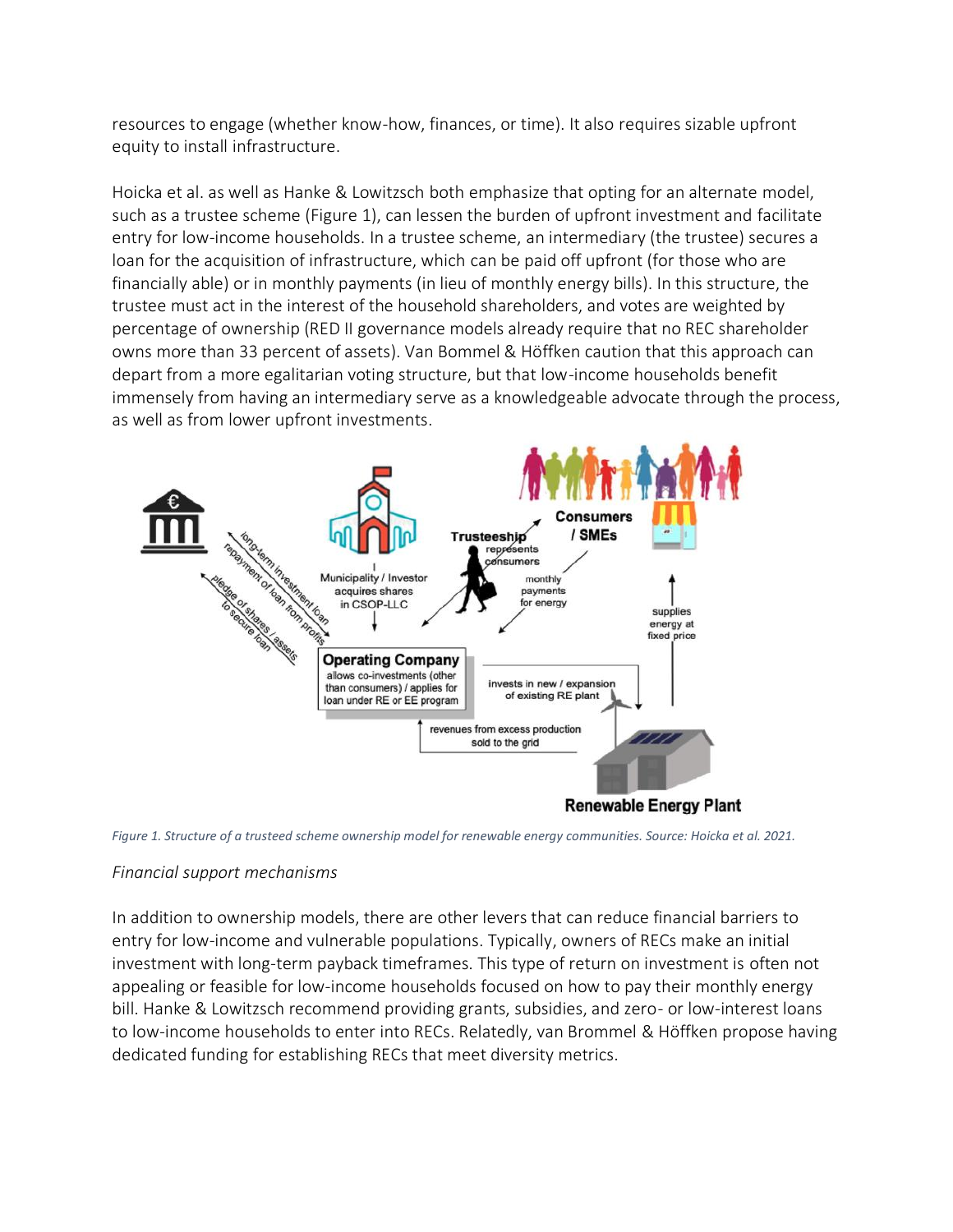resources to engage (whether know-how, finances, or time). It also requires sizable upfront equity to install infrastructure.

Hoicka et al. as well as Hanke & Lowitzsch both emphasize that opting for an alternate model, such as a trustee scheme (Figure 1), can lessen the burden of upfront investment and facilitate entry for low-income households. In a trustee scheme, an intermediary (the trustee) secures a loan for the acquisition of infrastructure, which can be paid off upfront (for those who are financially able) or in monthly payments (in lieu of monthly energy bills). In this structure, the trustee must act in the interest of the household shareholders, and votes are weighted by percentage of ownership (RED II governance models already require that no REC shareholder owns more than 33 percent of assets). Van Bommel & Höffken caution that this approach can depart from a more egalitarian voting structure, but that low-income households benefit immensely from having an intermediary serve as a knowledgeable advocate through the process, as well as from lower upfront investments.



*Figure 1. Structure of a trusteed scheme ownership model for renewable energy communities. Source: Hoicka et al. 2021.*

### *Financial support mechanisms*

In addition to ownership models, there are other levers that can reduce financial barriers to entry for low-income and vulnerable populations. Typically, owners of RECs make an initial investment with long-term payback timeframes. This type of return on investment is often not appealing or feasible for low-income households focused on how to pay their monthly energy bill. Hanke & Lowitzsch recommend providing grants, subsidies, and zero- or low-interest loans to low-income households to enter into RECs. Relatedly, van Brommel & Höffken propose having dedicated funding for establishing RECs that meet diversity metrics.